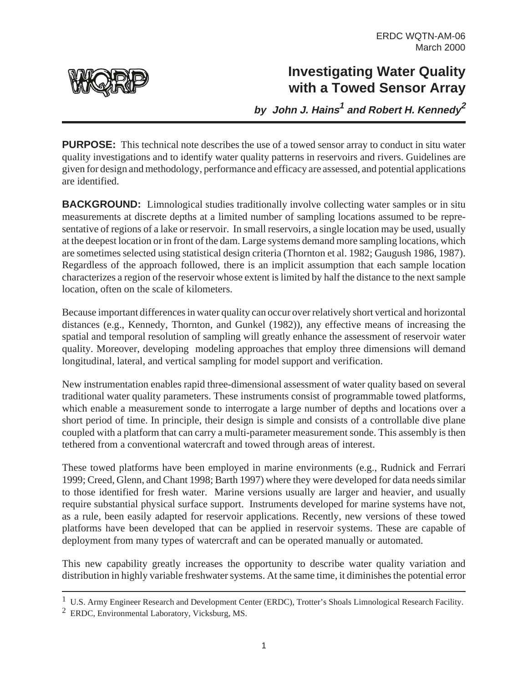# **Investigating Water Quality with a Towed Sensor Array**

**by John J. Hains<sup>1</sup> and Robert H. Kennedy<sup>2</sup>**

**PURPOSE:** This technical note describes the use of a towed sensor array to conduct in situ water quality investigations and to identify water quality patterns in reservoirs and rivers. Guidelines are given for design and methodology, performance and efficacy are assessed, and potential applications are identified.

**BACKGROUND:** Limnological studies traditionally involve collecting water samples or in situ measurements at discrete depths at a limited number of sampling locations assumed to be representative of regions of a lake or reservoir. In small reservoirs, a single location may be used, usually at the deepest location or in front of the dam. Large systems demand more sampling locations, which are sometimes selected using statistical design criteria (Thornton et al. 1982; Gaugush 1986, 1987). Regardless of the approach followed, there is an implicit assumption that each sample location characterizes a region of the reservoir whose extent is limited by half the distance to the next sample location, often on the scale of kilometers.

Because important differences in water quality can occur over relatively short vertical and horizontal distances (e.g., Kennedy, Thornton, and Gunkel (1982)), any effective means of increasing the spatial and temporal resolution of sampling will greatly enhance the assessment of reservoir water quality. Moreover, developing modeling approaches that employ three dimensions will demand longitudinal, lateral, and vertical sampling for model support and verification.

New instrumentation enables rapid three-dimensional assessment of water quality based on several traditional water quality parameters. These instruments consist of programmable towed platforms, which enable a measurement sonde to interrogate a large number of depths and locations over a short period of time. In principle, their design is simple and consists of a controllable dive plane coupled with a platform that can carry a multi-parameter measurement sonde. This assembly is then tethered from a conventional watercraft and towed through areas of interest.

These towed platforms have been employed in marine environments (e.g., Rudnick and Ferrari 1999; Creed, Glenn, and Chant 1998; Barth 1997) where they were developed for data needs similar to those identified for fresh water. Marine versions usually are larger and heavier, and usually require substantial physical surface support. Instruments developed for marine systems have not, as a rule, been easily adapted for reservoir applications. Recently, new versions of these towed platforms have been developed that can be applied in reservoir systems. These are capable of deployment from many types of watercraft and can be operated manually or automated.

This new capability greatly increases the opportunity to describe water quality variation and distribution in highly variable freshwater systems. At the same time, it diminishes the potential error

1



<sup>1</sup> U.S. Army Engineer Research and Development Center (ERDC), Trotter's Shoals Limnological Research Facility.

<sup>2</sup> ERDC, Environmental Laboratory, Vicksburg, MS.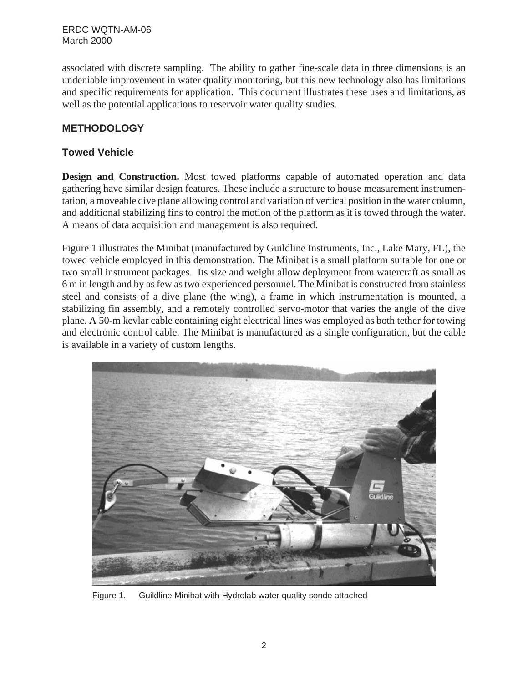associated with discrete sampling. The ability to gather fine-scale data in three dimensions is an undeniable improvement in water quality monitoring, but this new technology also has limitations and specific requirements for application. This document illustrates these uses and limitations, as well as the potential applications to reservoir water quality studies.

### **METHODOLOGY**

#### **Towed Vehicle**

**Design and Construction.** Most towed platforms capable of automated operation and data gathering have similar design features. These include a structure to house measurement instrumentation, a moveable dive plane allowing control and variation of vertical position in the water column, and additional stabilizing fins to control the motion of the platform as it is towed through the water. A means of data acquisition and management is also required.

Figure 1 illustrates the Minibat (manufactured by Guildline Instruments, Inc., Lake Mary, FL), the towed vehicle employed in this demonstration. The Minibat is a small platform suitable for one or two small instrument packages. Its size and weight allow deployment from watercraft as small as 6 m in length and by as few as two experienced personnel. The Minibat is constructed from stainless steel and consists of a dive plane (the wing), a frame in which instrumentation is mounted, a stabilizing fin assembly, and a remotely controlled servo-motor that varies the angle of the dive plane. A 50-m kevlar cable containing eight electrical lines was employed as both tether for towing and electronic control cable. The Minibat is manufactured as a single configuration, but the cable is available in a variety of custom lengths.



Figure 1. Guildline Minibat with Hydrolab water quality sonde attached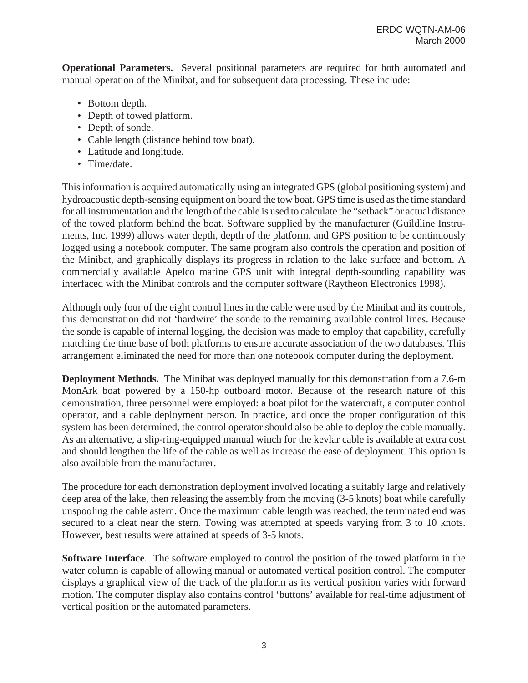**Operational Parameters.** Several positional parameters are required for both automated and manual operation of the Minibat, and for subsequent data processing. These include:

- Bottom depth.
- Depth of towed platform.
- Depth of sonde.
- Cable length (distance behind tow boat).
- Latitude and longitude.
- Time/date.

This information is acquired automatically using an integrated GPS (global positioning system) and hydroacoustic depth-sensing equipment on board the tow boat. GPS time is used as the time standard for all instrumentation and the length of the cable is used to calculate the "setback" or actual distance of the towed platform behind the boat. Software supplied by the manufacturer (Guildline Instruments, Inc. 1999) allows water depth, depth of the platform, and GPS position to be continuously logged using a notebook computer. The same program also controls the operation and position of the Minibat, and graphically displays its progress in relation to the lake surface and bottom. A commercially available Apelco marine GPS unit with integral depth-sounding capability was interfaced with the Minibat controls and the computer software (Raytheon Electronics 1998).

Although only four of the eight control lines in the cable were used by the Minibat and its controls, this demonstration did not 'hardwire' the sonde to the remaining available control lines. Because the sonde is capable of internal logging, the decision was made to employ that capability, carefully matching the time base of both platforms to ensure accurate association of the two databases. This arrangement eliminated the need for more than one notebook computer during the deployment.

**Deployment Methods.** The Minibat was deployed manually for this demonstration from a 7.6-m MonArk boat powered by a 150-hp outboard motor. Because of the research nature of this demonstration, three personnel were employed: a boat pilot for the watercraft, a computer control operator, and a cable deployment person. In practice, and once the proper configuration of this system has been determined, the control operator should also be able to deploy the cable manually. As an alternative, a slip-ring-equipped manual winch for the kevlar cable is available at extra cost and should lengthen the life of the cable as well as increase the ease of deployment. This option is also available from the manufacturer.

The procedure for each demonstration deployment involved locating a suitably large and relatively deep area of the lake, then releasing the assembly from the moving (3-5 knots) boat while carefully unspooling the cable astern. Once the maximum cable length was reached, the terminated end was secured to a cleat near the stern. Towing was attempted at speeds varying from 3 to 10 knots. However, best results were attained at speeds of 3-5 knots.

**Software Interface**. The software employed to control the position of the towed platform in the water column is capable of allowing manual or automated vertical position control. The computer displays a graphical view of the track of the platform as its vertical position varies with forward motion. The computer display also contains control 'buttons' available for real-time adjustment of vertical position or the automated parameters.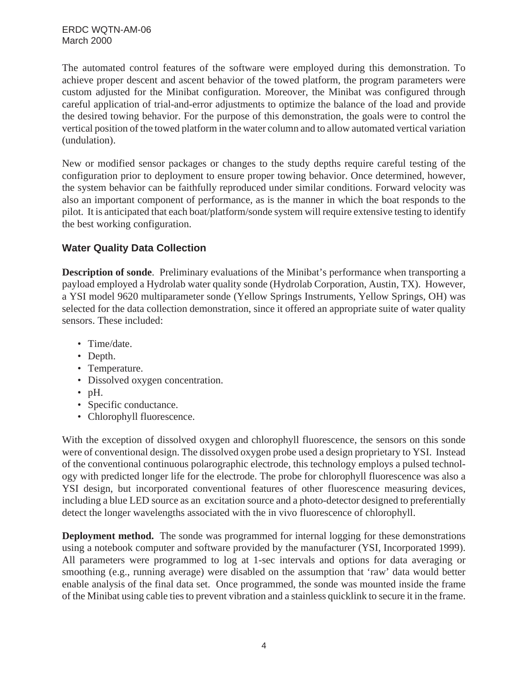The automated control features of the software were employed during this demonstration. To achieve proper descent and ascent behavior of the towed platform, the program parameters were custom adjusted for the Minibat configuration. Moreover, the Minibat was configured through careful application of trial-and-error adjustments to optimize the balance of the load and provide the desired towing behavior. For the purpose of this demonstration, the goals were to control the vertical position of the towed platform in the water column and to allow automated vertical variation (undulation).

New or modified sensor packages or changes to the study depths require careful testing of the configuration prior to deployment to ensure proper towing behavior. Once determined, however, the system behavior can be faithfully reproduced under similar conditions. Forward velocity was also an important component of performance, as is the manner in which the boat responds to the pilot. It is anticipated that each boat/platform/sonde system will require extensive testing to identify the best working configuration.

### **Water Quality Data Collection**

**Description of sonde**. Preliminary evaluations of the Minibat's performance when transporting a payload employed a Hydrolab water quality sonde (Hydrolab Corporation, Austin, TX). However, a YSI model 9620 multiparameter sonde (Yellow Springs Instruments, Yellow Springs, OH) was selected for the data collection demonstration, since it offered an appropriate suite of water quality sensors. These included:

- Time/date.
- Depth.
- Temperature.
- Dissolved oxygen concentration.
- pH.
- Specific conductance.
- Chlorophyll fluorescence.

With the exception of dissolved oxygen and chlorophyll fluorescence, the sensors on this sonde were of conventional design. The dissolved oxygen probe used a design proprietary to YSI. Instead of the conventional continuous polarographic electrode, this technology employs a pulsed technology with predicted longer life for the electrode. The probe for chlorophyll fluorescence was also a YSI design, but incorporated conventional features of other fluorescence measuring devices, including a blue LED source as an excitation source and a photo-detector designed to preferentially detect the longer wavelengths associated with the in vivo fluorescence of chlorophyll.

**Deployment method.** The sonde was programmed for internal logging for these demonstrations using a notebook computer and software provided by the manufacturer (YSI, Incorporated 1999). All parameters were programmed to log at 1-sec intervals and options for data averaging or smoothing (e.g., running average) were disabled on the assumption that 'raw' data would better enable analysis of the final data set. Once programmed, the sonde was mounted inside the frame of the Minibat using cable ties to prevent vibration and a stainless quicklink to secure it in the frame.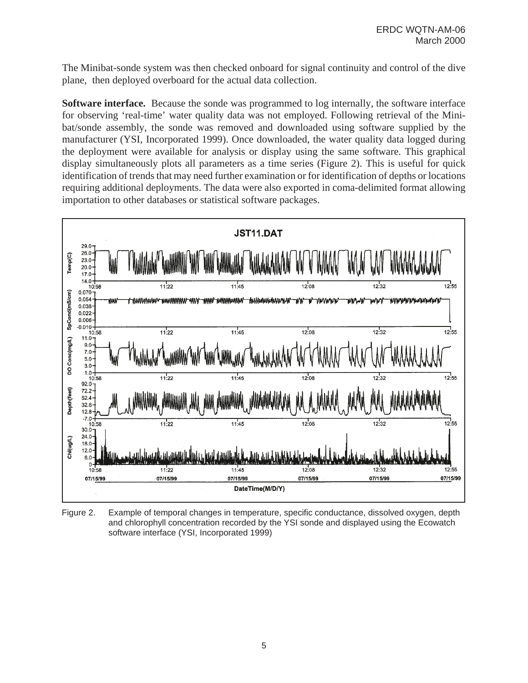The Minibat-sonde system was then checked onboard for signal continuity and control of the dive plane, then deployed overboard for the actual data collection.

**Software interface.** Because the sonde was programmed to log internally, the software interface for observing 'real-time' water quality data was not employed. Following retrieval of the Minibat/sonde assembly, the sonde was removed and downloaded using software supplied by the manufacturer (YSI, Incorporated 1999). Once downloaded, the water quality data logged during the deployment were available for analysis or display using the same software. This graphical display simultaneously plots all parameters as a time series (Figure 2). This is useful for quick identification of trends that may need further examination or for identification of depths or locations requiring additional deployments. The data were also exported in coma-delimited format allowing importation to other databases or statistical software packages.



Figure 2. Example of temporal changes in temperature, specific conductance, dissolved oxygen, depth and chlorophyll concentration recorded by the YSI sonde and displayed using the Ecowatch software interface (YSI, Incorporated 1999)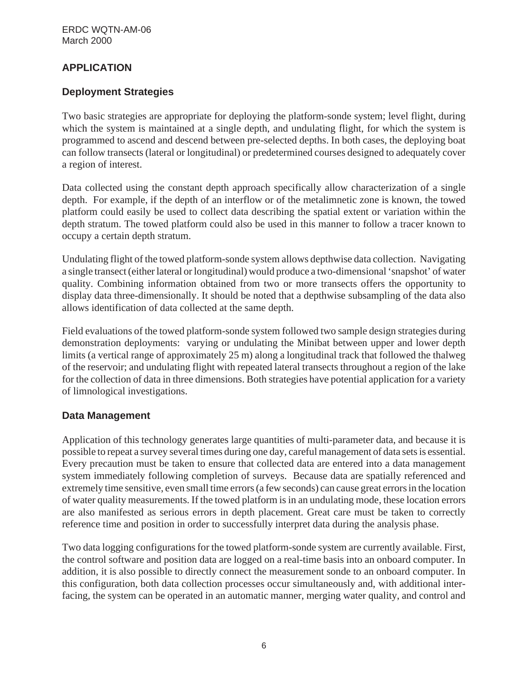# **APPLICATION**

## **Deployment Strategies**

Two basic strategies are appropriate for deploying the platform-sonde system; level flight, during which the system is maintained at a single depth, and undulating flight, for which the system is programmed to ascend and descend between pre-selected depths. In both cases, the deploying boat can follow transects (lateral or longitudinal) or predetermined courses designed to adequately cover a region of interest.

Data collected using the constant depth approach specifically allow characterization of a single depth. For example, if the depth of an interflow or of the metalimnetic zone is known, the towed platform could easily be used to collect data describing the spatial extent or variation within the depth stratum. The towed platform could also be used in this manner to follow a tracer known to occupy a certain depth stratum.

Undulating flight of the towed platform-sonde system allows depthwise data collection. Navigating a single transect (either lateral or longitudinal) would produce a two-dimensional 'snapshot' of water quality. Combining information obtained from two or more transects offers the opportunity to display data three-dimensionally. It should be noted that a depthwise subsampling of the data also allows identification of data collected at the same depth.

Field evaluations of the towed platform-sonde system followed two sample design strategies during demonstration deployments: varying or undulating the Minibat between upper and lower depth limits (a vertical range of approximately 25 m) along a longitudinal track that followed the thalweg of the reservoir; and undulating flight with repeated lateral transects throughout a region of the lake for the collection of data in three dimensions. Both strategies have potential application for a variety of limnological investigations.

#### **Data Management**

Application of this technology generates large quantities of multi-parameter data, and because it is possible to repeat a survey several times during one day, careful management of data sets is essential. Every precaution must be taken to ensure that collected data are entered into a data management system immediately following completion of surveys. Because data are spatially referenced and extremely time sensitive, even small time errors (a few seconds) can cause great errors in the location of water quality measurements. If the towed platform is in an undulating mode, these location errors are also manifested as serious errors in depth placement. Great care must be taken to correctly reference time and position in order to successfully interpret data during the analysis phase.

Two data logging configurations for the towed platform-sonde system are currently available. First, the control software and position data are logged on a real-time basis into an onboard computer. In addition, it is also possible to directly connect the measurement sonde to an onboard computer. In this configuration, both data collection processes occur simultaneously and, with additional interfacing, the system can be operated in an automatic manner, merging water quality, and control and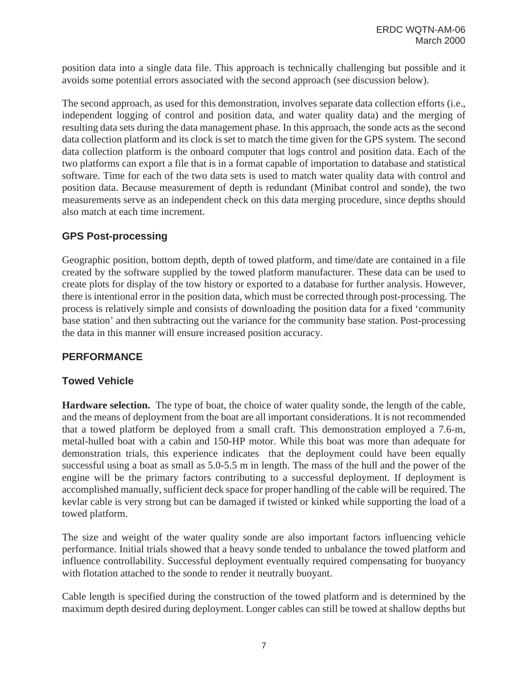position data into a single data file. This approach is technically challenging but possible and it avoids some potential errors associated with the second approach (see discussion below).

The second approach, as used for this demonstration, involves separate data collection efforts (i.e., independent logging of control and position data, and water quality data) and the merging of resulting data sets during the data management phase. In this approach, the sonde acts as the second data collection platform and its clock is set to match the time given for the GPS system. The second data collection platform is the onboard computer that logs control and position data. Each of the two platforms can export a file that is in a format capable of importation to database and statistical software. Time for each of the two data sets is used to match water quality data with control and position data. Because measurement of depth is redundant (Minibat control and sonde), the two measurements serve as an independent check on this data merging procedure, since depths should also match at each time increment.

# **GPS Post-processing**

Geographic position, bottom depth, depth of towed platform, and time/date are contained in a file created by the software supplied by the towed platform manufacturer. These data can be used to create plots for display of the tow history or exported to a database for further analysis. However, there is intentional error in the position data, which must be corrected through post-processing. The process is relatively simple and consists of downloading the position data for a fixed 'community base station' and then subtracting out the variance for the community base station. Post-processing the data in this manner will ensure increased position accuracy.

# **PERFORMANCE**

# **Towed Vehicle**

**Hardware selection.** The type of boat, the choice of water quality sonde, the length of the cable, and the means of deployment from the boat are all important considerations. It is not recommended that a towed platform be deployed from a small craft. This demonstration employed a 7.6-m, metal-hulled boat with a cabin and 150-HP motor. While this boat was more than adequate for demonstration trials, this experience indicates that the deployment could have been equally successful using a boat as small as 5.0-5.5 m in length. The mass of the hull and the power of the engine will be the primary factors contributing to a successful deployment. If deployment is accomplished manually, sufficient deck space for proper handling of the cable will be required. The kevlar cable is very strong but can be damaged if twisted or kinked while supporting the load of a towed platform.

The size and weight of the water quality sonde are also important factors influencing vehicle performance. Initial trials showed that a heavy sonde tended to unbalance the towed platform and influence controllability. Successful deployment eventually required compensating for buoyancy with flotation attached to the sonde to render it neutrally buoyant.

Cable length is specified during the construction of the towed platform and is determined by the maximum depth desired during deployment. Longer cables can still be towed at shallow depths but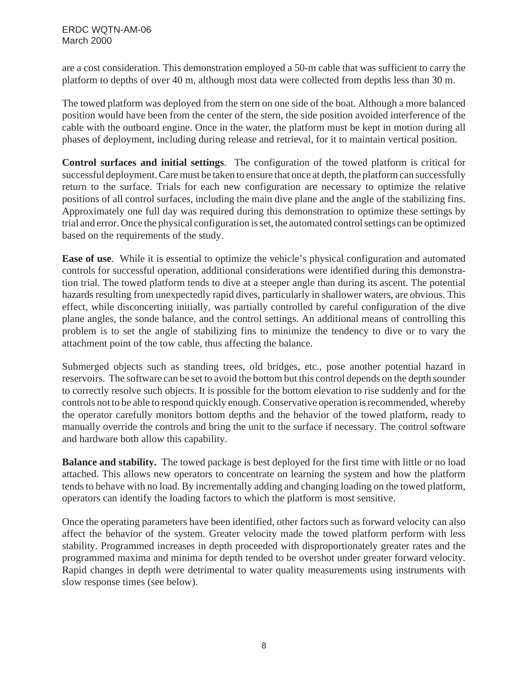are a cost consideration. This demonstration employed a 50-m cable that was sufficient to carry the platform to depths of over 40 m, although most data were collected from depths less than 30 m.

The towed platform was deployed from the stern on one side of the boat. Although a more balanced position would have been from the center of the stern, the side position avoided interference of the cable with the outboard engine. Once in the water, the platform must be kept in motion during all phases of deployment, including during release and retrieval, for it to maintain vertical position.

**Control surfaces and initial settings**. The configuration of the towed platform is critical for successful deployment. Care must be taken to ensure that once at depth, the platform can successfully return to the surface. Trials for each new configuration are necessary to optimize the relative positions of all control surfaces, including the main dive plane and the angle of the stabilizing fins. Approximately one full day was required during this demonstration to optimize these settings by trial and error. Once the physical configuration is set, the automated control settings can be optimized based on the requirements of the study.

**Ease of use**. While it is essential to optimize the vehicle's physical configuration and automated controls for successful operation, additional considerations were identified during this demonstration trial. The towed platform tends to dive at a steeper angle than during its ascent. The potential hazards resulting from unexpectedly rapid dives, particularly in shallower waters, are obvious. This effect, while disconcerting initially, was partially controlled by careful configuration of the dive plane angles, the sonde balance, and the control settings. An additional means of controlling this problem is to set the angle of stabilizing fins to minimize the tendency to dive or to vary the attachment point of the tow cable, thus affecting the balance.

Submerged objects such as standing trees, old bridges, etc., pose another potential hazard in reservoirs. The software can be set to avoid the bottom but this control depends on the depth sounder to correctly resolve such objects. It is possible for the bottom elevation to rise suddenly and for the controls not to be able to respond quickly enough. Conservative operation is recommended, whereby the operator carefully monitors bottom depths and the behavior of the towed platform, ready to manually override the controls and bring the unit to the surface if necessary. The control software and hardware both allow this capability.

**Balance and stability.** The towed package is best deployed for the first time with little or no load attached. This allows new operators to concentrate on learning the system and how the platform tends to behave with no load. By incrementally adding and changing loading on the towed platform, operators can identify the loading factors to which the platform is most sensitive.

Once the operating parameters have been identified, other factors such as forward velocity can also affect the behavior of the system. Greater velocity made the towed platform perform with less stability. Programmed increases in depth proceeded with disproportionately greater rates and the programmed maxima and minima for depth tended to be overshot under greater forward velocity. Rapid changes in depth were detrimental to water quality measurements using instruments with slow response times (see below).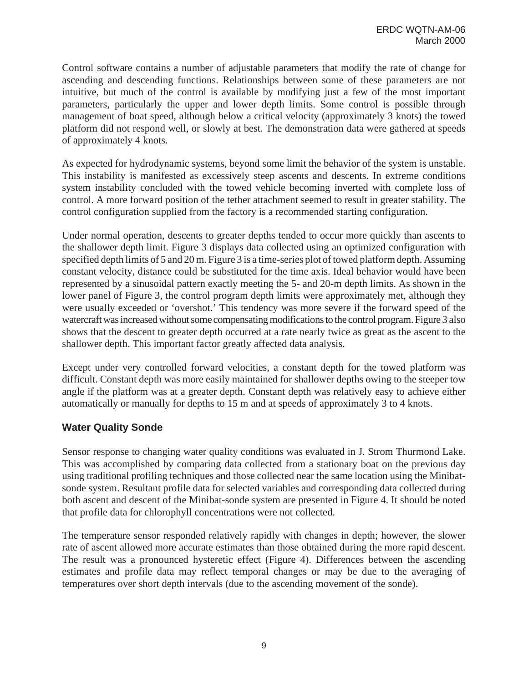Control software contains a number of adjustable parameters that modify the rate of change for ascending and descending functions. Relationships between some of these parameters are not intuitive, but much of the control is available by modifying just a few of the most important parameters, particularly the upper and lower depth limits. Some control is possible through management of boat speed, although below a critical velocity (approximately 3 knots) the towed platform did not respond well, or slowly at best. The demonstration data were gathered at speeds of approximately 4 knots.

As expected for hydrodynamic systems, beyond some limit the behavior of the system is unstable. This instability is manifested as excessively steep ascents and descents. In extreme conditions system instability concluded with the towed vehicle becoming inverted with complete loss of control. A more forward position of the tether attachment seemed to result in greater stability. The control configuration supplied from the factory is a recommended starting configuration.

Under normal operation, descents to greater depths tended to occur more quickly than ascents to the shallower depth limit. Figure 3 displays data collected using an optimized configuration with specified depth limits of 5 and 20 m. Figure 3 is a time-series plot of towed platform depth. Assuming constant velocity, distance could be substituted for the time axis. Ideal behavior would have been represented by a sinusoidal pattern exactly meeting the 5- and 20-m depth limits. As shown in the lower panel of Figure 3, the control program depth limits were approximately met, although they were usually exceeded or 'overshot.' This tendency was more severe if the forward speed of the watercraft was increased without some compensating modifications to the control program. Figure 3 also shows that the descent to greater depth occurred at a rate nearly twice as great as the ascent to the shallower depth. This important factor greatly affected data analysis.

Except under very controlled forward velocities, a constant depth for the towed platform was difficult. Constant depth was more easily maintained for shallower depths owing to the steeper tow angle if the platform was at a greater depth. Constant depth was relatively easy to achieve either automatically or manually for depths to 15 m and at speeds of approximately 3 to 4 knots.

#### **Water Quality Sonde**

Sensor response to changing water quality conditions was evaluated in J. Strom Thurmond Lake. This was accomplished by comparing data collected from a stationary boat on the previous day using traditional profiling techniques and those collected near the same location using the Minibatsonde system. Resultant profile data for selected variables and corresponding data collected during both ascent and descent of the Minibat-sonde system are presented in Figure 4. It should be noted that profile data for chlorophyll concentrations were not collected.

The temperature sensor responded relatively rapidly with changes in depth; however, the slower rate of ascent allowed more accurate estimates than those obtained during the more rapid descent. The result was a pronounced hysteretic effect (Figure 4). Differences between the ascending estimates and profile data may reflect temporal changes or may be due to the averaging of temperatures over short depth intervals (due to the ascending movement of the sonde).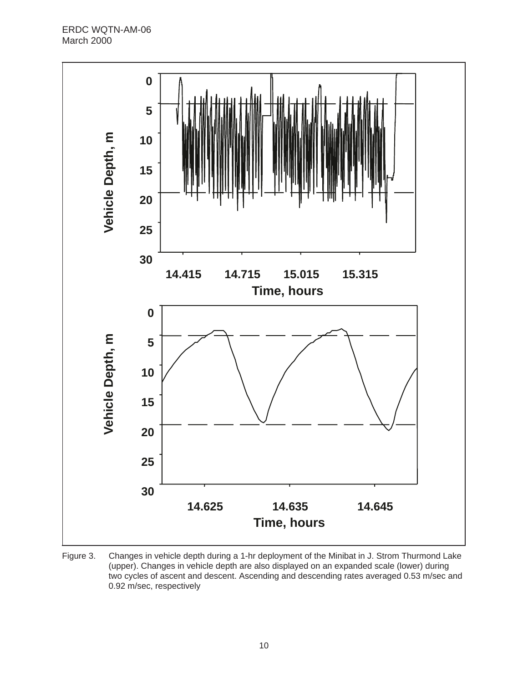ERDC WQTN-AM-06 March 2000



Figure 3. Changes in vehicle depth during a 1-hr deployment of the Minibat in J. Strom Thurmond Lake (upper). Changes in vehicle depth are also displayed on an expanded scale (lower) during two cycles of ascent and descent. Ascending and descending rates averaged 0.53 m/sec and 0.92 m/sec, respectively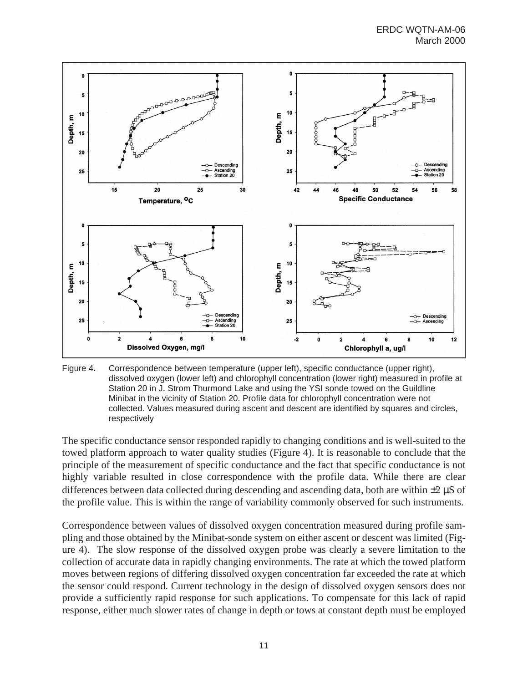

Figure 4. Correspondence between temperature (upper left), specific conductance (upper right), dissolved oxygen (lower left) and chlorophyll concentration (lower right) measured in profile at Station 20 in J. Strom Thurmond Lake and using the YSI sonde towed on the Guildline Minibat in the vicinity of Station 20. Profile data for chlorophyll concentration were not collected. Values measured during ascent and descent are identified by squares and circles, respectively

The specific conductance sensor responded rapidly to changing conditions and is well-suited to the towed platform approach to water quality studies (Figure 4). It is reasonable to conclude that the principle of the measurement of specific conductance and the fact that specific conductance is not highly variable resulted in close correspondence with the profile data. While there are clear differences between data collected during descending and ascending data, both are within  $\pm 2 \mu S$  of the profile value. This is within the range of variability commonly observed for such instruments.

Correspondence between values of dissolved oxygen concentration measured during profile sampling and those obtained by the Minibat-sonde system on either ascent or descent was limited (Figure 4). The slow response of the dissolved oxygen probe was clearly a severe limitation to the collection of accurate data in rapidly changing environments. The rate at which the towed platform moves between regions of differing dissolved oxygen concentration far exceeded the rate at which the sensor could respond. Current technology in the design of dissolved oxygen sensors does not provide a sufficiently rapid response for such applications. To compensate for this lack of rapid response, either much slower rates of change in depth or tows at constant depth must be employed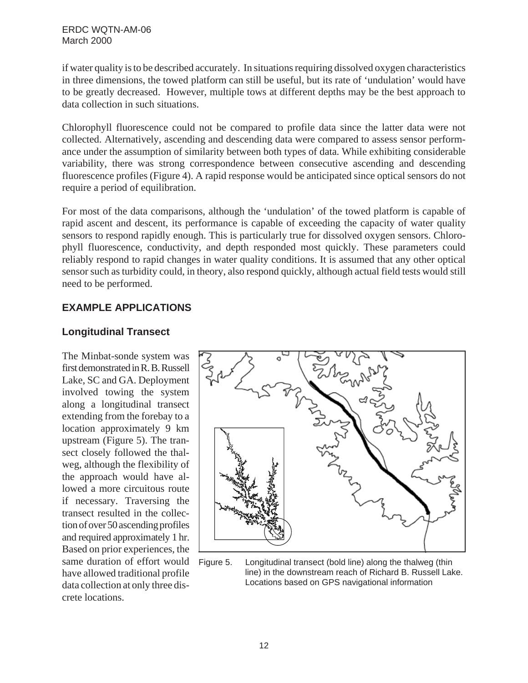if water quality is to be described accurately. In situations requiring dissolved oxygen characteristics in three dimensions, the towed platform can still be useful, but its rate of 'undulation' would have to be greatly decreased. However, multiple tows at different depths may be the best approach to data collection in such situations.

Chlorophyll fluorescence could not be compared to profile data since the latter data were not collected. Alternatively, ascending and descending data were compared to assess sensor performance under the assumption of similarity between both types of data. While exhibiting considerable variability, there was strong correspondence between consecutive ascending and descending fluorescence profiles (Figure 4). A rapid response would be anticipated since optical sensors do not require a period of equilibration.

For most of the data comparisons, although the 'undulation' of the towed platform is capable of rapid ascent and descent, its performance is capable of exceeding the capacity of water quality sensors to respond rapidly enough. This is particularly true for dissolved oxygen sensors. Chlorophyll fluorescence, conductivity, and depth responded most quickly. These parameters could reliably respond to rapid changes in water quality conditions. It is assumed that any other optical sensor such as turbidity could, in theory, also respond quickly, although actual field tests would still need to be performed.

# **EXAMPLE APPLICATIONS**

### **Longitudinal Transect**

The Minbat-sonde system was first demonstrated in R. B. Russell Lake, SC and GA. Deployment involved towing the system along a longitudinal transect extending from the forebay to a location approximately 9 km upstream (Figure 5). The transect closely followed the thalweg, although the flexibility of the approach would have allowed a more circuitous route if necessary. Traversing the transect resulted in the collection of over 50 ascending profiles and required approximately 1 hr. Based on prior experiences, the same duration of effort would have allowed traditional profile data collection at only three discrete locations.



Figure 5. Longitudinal transect (bold line) along the thalweg (thin line) in the downstream reach of Richard B. Russell Lake. Locations based on GPS navigational information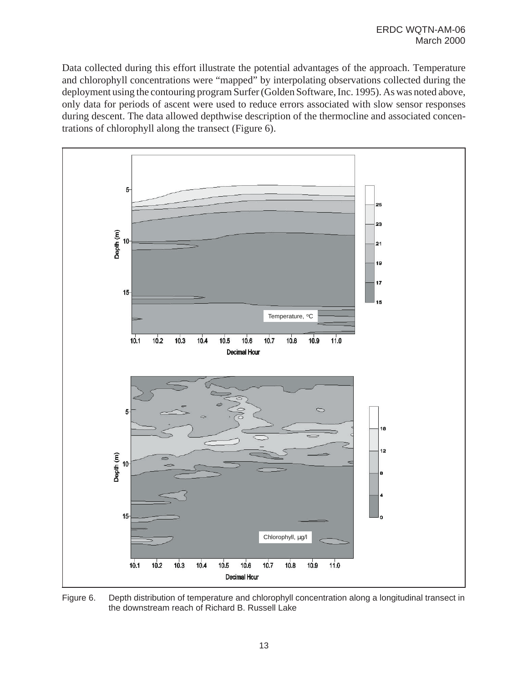Data collected during this effort illustrate the potential advantages of the approach. Temperature and chlorophyll concentrations were "mapped" by interpolating observations collected during the deployment using the contouring program Surfer (Golden Software, Inc. 1995). As was noted above, only data for periods of ascent were used to reduce errors associated with slow sensor responses during descent. The data allowed depthwise description of the thermocline and associated concentrations of chlorophyll along the transect (Figure 6).



Figure 6. Depth distribution of temperature and chlorophyll concentration along a longitudinal transect in the downstream reach of Richard B. Russell Lake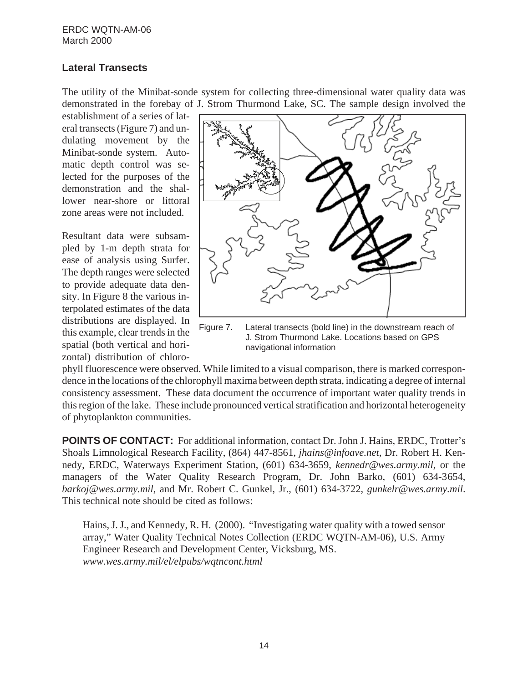#### **Lateral Transects**

The utility of the Minibat-sonde system for collecting three-dimensional water quality data was demonstrated in the forebay of J. Strom Thurmond Lake, SC. The sample design involved the

establishment of a series of lateral transects (Figure 7) and undulating movement by the Minibat-sonde system. Automatic depth control was selected for the purposes of the demonstration and the shallower near-shore or littoral zone areas were not included.

Resultant data were subsampled by 1-m depth strata for ease of analysis using Surfer. The depth ranges were selected to provide adequate data density. In Figure 8 the various interpolated estimates of the data distributions are displayed. In this example, clear trends in the spatial (both vertical and horizontal) distribution of chloro-



Figure 7. Lateral transects (bold line) in the downstream reach of J. Strom Thurmond Lake. Locations based on GPS navigational information

phyll fluorescence were observed. While limited to a visual comparison, there is marked correspondence in the locations of the chlorophyll maxima between depth strata, indicating a degree of internal consistency assessment. These data document the occurrence of important water quality trends in this region of the lake. These include pronounced vertical stratification and horizontal heterogeneity of phytoplankton communities.

**POINTS OF CONTACT:** For additional information, contact Dr. John J. Hains, ERDC, Trotter's Shoals Limnological Research Facility, (864) 447-8561, *jhains@infoave.net*, Dr. Robert H. Kennedy, ERDC, Waterways Experiment Station, (601) 634-3659, *kennedr@wes.army.mil,* or the managers of the Water Quality Research Program, Dr. John Barko, (601) 634-3654, *barkoj@wes.army.mil*, and Mr. Robert C. Gunkel, Jr., (601) 634-3722, *gunkelr@wes.army.mil*. This technical note should be cited as follows:

Hains, J. J., and Kennedy, R. H. (2000). "Investigating water quality with a towed sensor array," Water Quality Technical Notes Collection (ERDC WQTN-AM-06), U.S. Army Engineer Research and Development Center, Vicksburg, MS. *www.wes.army.mil/el/elpubs/wqtncont.html*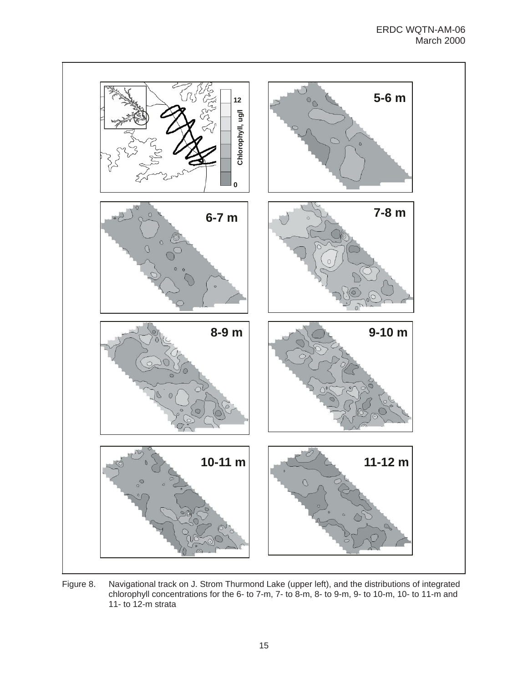

Figure 8. Navigational track on J. Strom Thurmond Lake (upper left), and the distributions of integrated chlorophyll concentrations for the 6- to 7-m, 7- to 8-m, 8- to 9-m, 9- to 10-m, 10- to 11-m and 11- to 12-m strata